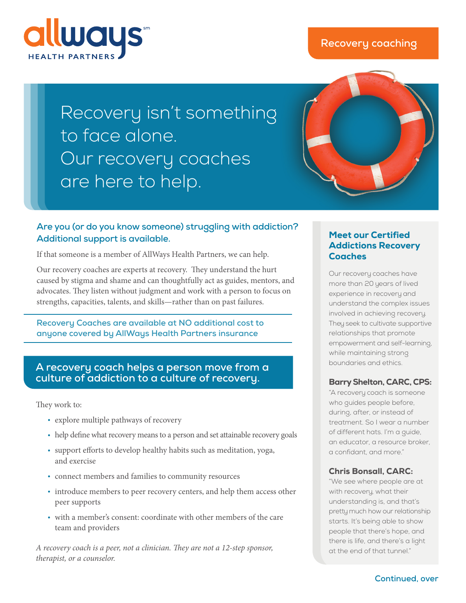



# Recovery isn't something to face alone. Our recovery coaches are here to help.

### **Are you (or do you know someone) struggling with addiction? Additional support is available.**

If that someone is a member of AllWays Health Partners, we can help.

Our recovery coaches are experts at recovery. They understand the hurt caused by stigma and shame and can thoughtfully act as guides, mentors, and advocates. They listen without judgment and work with a person to focus on strengths, capacities, talents, and skills—rather than on past failures.

**Recovery Coaches are available at NO additional cost to anyone covered by AllWays Health Partners insurance**

#### **A recovery coach helps a person move from a culture of addiction to a culture of recovery.**

They work to:

- explore multiple pathways of recovery
- help define what recovery means to a person and set attainable recovery goals
- support efforts to develop healthy habits such as meditation, yoga, and exercise
- connect members and families to community resources
- introduce members to peer recovery centers, and help them access other peer supports
- with a member's consent: coordinate with other members of the care team and providers

*A recovery coach is a peer, not a clinician. They are not a 12-step sponsor, therapist, or a counselor.*

#### Meet our Certified Addictions Recovery **Coaches**

Our recovery coaches have more than 20 years of lived experience in recovery and understand the complex issues involved in achieving recovery. They seek to cultivate supportive relationships that promote empowerment and self-learning, while maintaining strong boundaries and ethics.

#### Barry Shelton, CARC, CPS:

"A recovery coach is someone who guides people before, during, after, or instead of treatment. So I wear a number of different hats. I'm a guide, an educator, a resource broker, a confidant, and more."

#### Chris Bonsall, CARC:

"We see where people are at with recovery, what their understanding is, and that's pretty much how our relationship starts. It's being able to show people that there's hope, and there is life, and there's a light at the end of that tunnel."